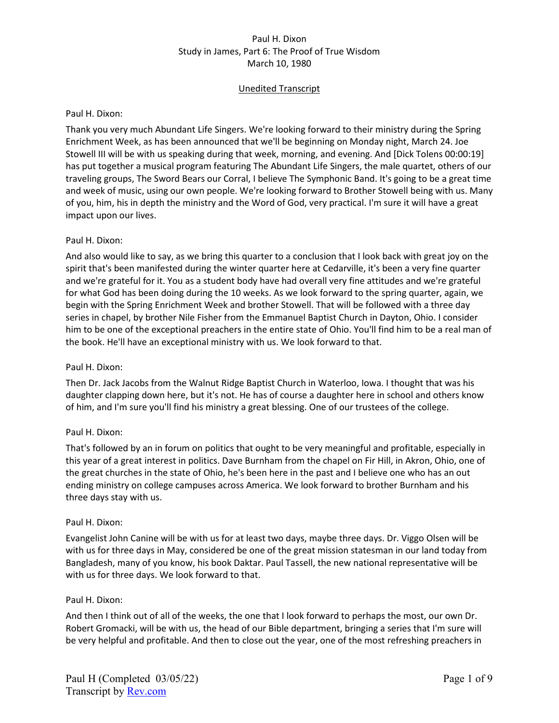# Unedited Transcript

### Paul H. Dixon:

Thank you very much Abundant Life Singers. We're looking forward to their ministry during the Spring Enrichment Week, as has been announced that we'll be beginning on Monday night, March 24. Joe Stowell III will be with us speaking during that week, morning, and evening. And [Dick Tolens 00:00:19] has put together a musical program featuring The Abundant Life Singers, the male quartet, others of our traveling groups, The Sword Bears our Corral, I believe The Symphonic Band. It's going to be a great time and week of music, using our own people. We're looking forward to Brother Stowell being with us. Many of you, him, his in depth the ministry and the Word of God, very practical. I'm sure it will have a great impact upon our lives.

# Paul H. Dixon:

And also would like to say, as we bring this quarter to a conclusion that I look back with great joy on the spirit that's been manifested during the winter quarter here at Cedarville, it's been a very fine quarter and we're grateful for it. You as a student body have had overall very fine attitudes and we're grateful for what God has been doing during the 10 weeks. As we look forward to the spring quarter, again, we begin with the Spring Enrichment Week and brother Stowell. That will be followed with a three day series in chapel, by brother Nile Fisher from the Emmanuel Baptist Church in Dayton, Ohio. I consider him to be one of the exceptional preachers in the entire state of Ohio. You'll find him to be a real man of the book. He'll have an exceptional ministry with us. We look forward to that.

### Paul H. Dixon:

Then Dr. Jack Jacobs from the Walnut Ridge Baptist Church in Waterloo, Iowa. I thought that was his daughter clapping down here, but it's not. He has of course a daughter here in school and others know of him, and I'm sure you'll find his ministry a great blessing. One of our trustees of the college.

# Paul H. Dixon:

That's followed by an in forum on politics that ought to be very meaningful and profitable, especially in this year of a great interest in politics. Dave Burnham from the chapel on Fir Hill, in Akron, Ohio, one of the great churches in the state of Ohio, he's been here in the past and I believe one who has an out ending ministry on college campuses across America. We look forward to brother Burnham and his three days stay with us.

#### Paul H. Dixon:

Evangelist John Canine will be with us for at least two days, maybe three days. Dr. Viggo Olsen will be with us for three days in May, considered be one of the great mission statesman in our land today from Bangladesh, many of you know, his book Daktar. Paul Tassell, the new national representative will be with us for three days. We look forward to that.

#### Paul H. Dixon:

And then I think out of all of the weeks, the one that I look forward to perhaps the most, our own Dr. Robert Gromacki, will be with us, the head of our Bible department, bringing a series that I'm sure will be very helpful and profitable. And then to close out the year, one of the most refreshing preachers in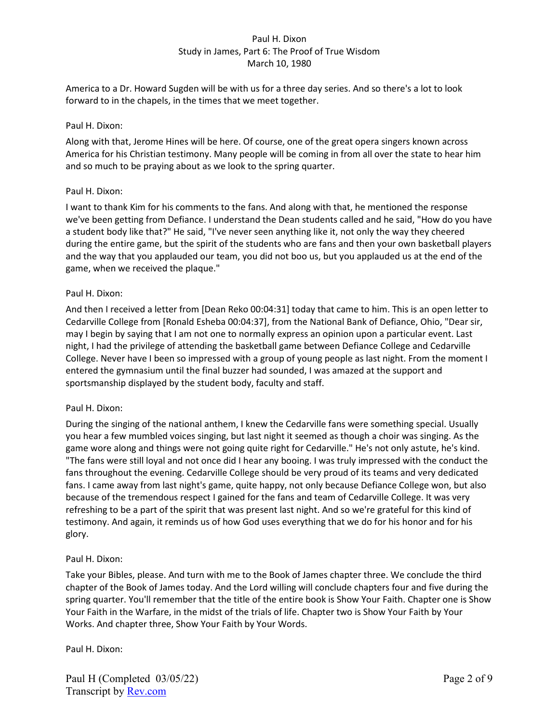America to a Dr. Howard Sugden will be with us for a three day series. And so there's a lot to look forward to in the chapels, in the times that we meet together.

## Paul H. Dixon:

Along with that, Jerome Hines will be here. Of course, one of the great opera singers known across America for his Christian testimony. Many people will be coming in from all over the state to hear him and so much to be praying about as we look to the spring quarter.

## Paul H. Dixon:

I want to thank Kim for his comments to the fans. And along with that, he mentioned the response we've been getting from Defiance. I understand the Dean students called and he said, "How do you have a student body like that?" He said, "I've never seen anything like it, not only the way they cheered during the entire game, but the spirit of the students who are fans and then your own basketball players and the way that you applauded our team, you did not boo us, but you applauded us at the end of the game, when we received the plaque."

## Paul H. Dixon:

And then I received a letter from [Dean Reko 00:04:31] today that came to him. This is an open letter to Cedarville College from [Ronald Esheba 00:04:37], from the National Bank of Defiance, Ohio, "Dear sir, may I begin by saying that I am not one to normally express an opinion upon a particular event. Last night, I had the privilege of attending the basketball game between Defiance College and Cedarville College. Never have I been so impressed with a group of young people as last night. From the moment I entered the gymnasium until the final buzzer had sounded, I was amazed at the support and sportsmanship displayed by the student body, faculty and staff.

# Paul H. Dixon:

During the singing of the national anthem, I knew the Cedarville fans were something special. Usually you hear a few mumbled voices singing, but last night it seemed as though a choir was singing. As the game wore along and things were not going quite right for Cedarville." He's not only astute, he's kind. "The fans were still loyal and not once did I hear any booing. I was truly impressed with the conduct the fans throughout the evening. Cedarville College should be very proud of its teams and very dedicated fans. I came away from last night's game, quite happy, not only because Defiance College won, but also because of the tremendous respect I gained for the fans and team of Cedarville College. It was very refreshing to be a part of the spirit that was present last night. And so we're grateful for this kind of testimony. And again, it reminds us of how God uses everything that we do for his honor and for his glory.

#### Paul H. Dixon:

Take your Bibles, please. And turn with me to the Book of James chapter three. We conclude the third chapter of the Book of James today. And the Lord willing will conclude chapters four and five during the spring quarter. You'll remember that the title of the entire book is Show Your Faith. Chapter one is Show Your Faith in the Warfare, in the midst of the trials of life. Chapter two is Show Your Faith by Your Works. And chapter three, Show Your Faith by Your Words.

Paul H. Dixon: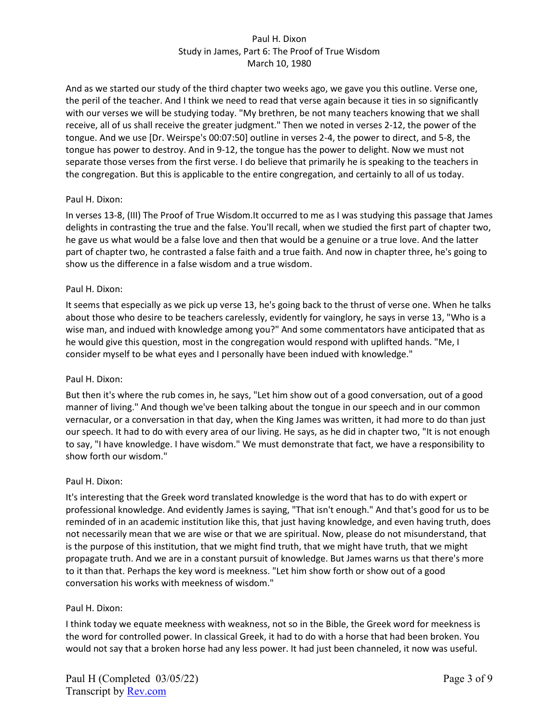And as we started our study of the third chapter two weeks ago, we gave you this outline. Verse one, the peril of the teacher. And I think we need to read that verse again because it ties in so significantly with our verses we will be studying today. "My brethren, be not many teachers knowing that we shall receive, all of us shall receive the greater judgment." Then we noted in verses 2-12, the power of the tongue. And we use [Dr. Weirspe's 00:07:50] outline in verses 2-4, the power to direct, and 5-8, the tongue has power to destroy. And in 9-12, the tongue has the power to delight. Now we must not separate those verses from the first verse. I do believe that primarily he is speaking to the teachers in the congregation. But this is applicable to the entire congregation, and certainly to all of us today.

## Paul H. Dixon:

In verses 13-8, (III) The Proof of True Wisdom.It occurred to me as I was studying this passage that James delights in contrasting the true and the false. You'll recall, when we studied the first part of chapter two, he gave us what would be a false love and then that would be a genuine or a true love. And the latter part of chapter two, he contrasted a false faith and a true faith. And now in chapter three, he's going to show us the difference in a false wisdom and a true wisdom.

## Paul H. Dixon:

It seems that especially as we pick up verse 13, he's going back to the thrust of verse one. When he talks about those who desire to be teachers carelessly, evidently for vainglory, he says in verse 13, "Who is a wise man, and indued with knowledge among you?" And some commentators have anticipated that as he would give this question, most in the congregation would respond with uplifted hands. "Me, I consider myself to be what eyes and I personally have been indued with knowledge."

# Paul H. Dixon:

But then it's where the rub comes in, he says, "Let him show out of a good conversation, out of a good manner of living." And though we've been talking about the tongue in our speech and in our common vernacular, or a conversation in that day, when the King James was written, it had more to do than just our speech. It had to do with every area of our living. He says, as he did in chapter two, "It is not enough to say, "I have knowledge. I have wisdom." We must demonstrate that fact, we have a responsibility to show forth our wisdom."

# Paul H. Dixon:

It's interesting that the Greek word translated knowledge is the word that has to do with expert or professional knowledge. And evidently James is saying, "That isn't enough." And that's good for us to be reminded of in an academic institution like this, that just having knowledge, and even having truth, does not necessarily mean that we are wise or that we are spiritual. Now, please do not misunderstand, that is the purpose of this institution, that we might find truth, that we might have truth, that we might propagate truth. And we are in a constant pursuit of knowledge. But James warns us that there's more to it than that. Perhaps the key word is meekness. "Let him show forth or show out of a good conversation his works with meekness of wisdom."

# Paul H. Dixon:

I think today we equate meekness with weakness, not so in the Bible, the Greek word for meekness is the word for controlled power. In classical Greek, it had to do with a horse that had been broken. You would not say that a broken horse had any less power. It had just been channeled, it now was useful.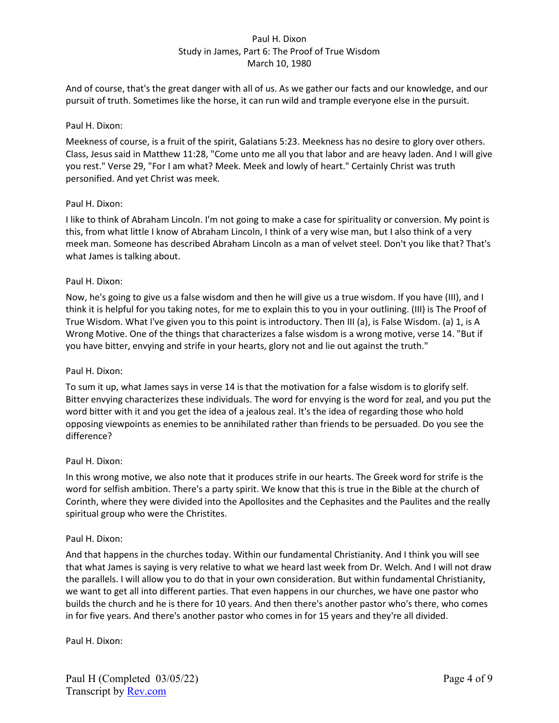And of course, that's the great danger with all of us. As we gather our facts and our knowledge, and our pursuit of truth. Sometimes like the horse, it can run wild and trample everyone else in the pursuit.

## Paul H. Dixon:

Meekness of course, is a fruit of the spirit, Galatians 5:23. Meekness has no desire to glory over others. Class, Jesus said in Matthew 11:28, "Come unto me all you that labor and are heavy laden. And I will give you rest." Verse 29, "For I am what? Meek. Meek and lowly of heart." Certainly Christ was truth personified. And yet Christ was meek.

## Paul H. Dixon:

I like to think of Abraham Lincoln. I'm not going to make a case for spirituality or conversion. My point is this, from what little I know of Abraham Lincoln, I think of a very wise man, but I also think of a very meek man. Someone has described Abraham Lincoln as a man of velvet steel. Don't you like that? That's what James is talking about.

## Paul H. Dixon:

Now, he's going to give us a false wisdom and then he will give us a true wisdom. If you have (III), and I think it is helpful for you taking notes, for me to explain this to you in your outlining. (III) is The Proof of True Wisdom. What I've given you to this point is introductory. Then III (a), is False Wisdom. (a) 1, is A Wrong Motive. One of the things that characterizes a false wisdom is a wrong motive, verse 14. "But if you have bitter, envying and strife in your hearts, glory not and lie out against the truth."

#### Paul H. Dixon:

To sum it up, what James says in verse 14 is that the motivation for a false wisdom is to glorify self. Bitter envying characterizes these individuals. The word for envying is the word for zeal, and you put the word bitter with it and you get the idea of a jealous zeal. It's the idea of regarding those who hold opposing viewpoints as enemies to be annihilated rather than friends to be persuaded. Do you see the difference?

#### Paul H. Dixon:

In this wrong motive, we also note that it produces strife in our hearts. The Greek word for strife is the word for selfish ambition. There's a party spirit. We know that this is true in the Bible at the church of Corinth, where they were divided into the Apollosites and the Cephasites and the Paulites and the really spiritual group who were the Christites.

#### Paul H. Dixon:

And that happens in the churches today. Within our fundamental Christianity. And I think you will see that what James is saying is very relative to what we heard last week from Dr. Welch. And I will not draw the parallels. I will allow you to do that in your own consideration. But within fundamental Christianity, we want to get all into different parties. That even happens in our churches, we have one pastor who builds the church and he is there for 10 years. And then there's another pastor who's there, who comes in for five years. And there's another pastor who comes in for 15 years and they're all divided.

Paul H. Dixon: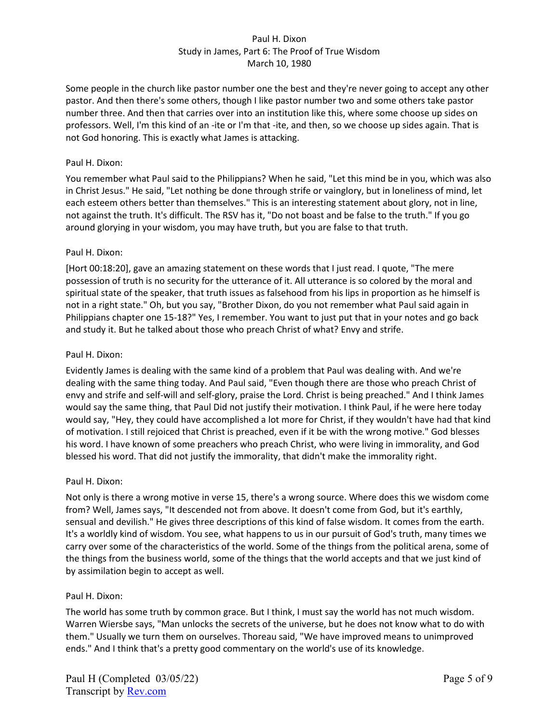Some people in the church like pastor number one the best and they're never going to accept any other pastor. And then there's some others, though I like pastor number two and some others take pastor number three. And then that carries over into an institution like this, where some choose up sides on professors. Well, I'm this kind of an -ite or I'm that -ite, and then, so we choose up sides again. That is not God honoring. This is exactly what James is attacking.

## Paul H. Dixon:

You remember what Paul said to the Philippians? When he said, "Let this mind be in you, which was also in Christ Jesus." He said, "Let nothing be done through strife or vainglory, but in loneliness of mind, let each esteem others better than themselves." This is an interesting statement about glory, not in line, not against the truth. It's difficult. The RSV has it, "Do not boast and be false to the truth." If you go around glorying in your wisdom, you may have truth, but you are false to that truth.

# Paul H. Dixon:

[Hort 00:18:20], gave an amazing statement on these words that I just read. I quote, "The mere possession of truth is no security for the utterance of it. All utterance is so colored by the moral and spiritual state of the speaker, that truth issues as falsehood from his lips in proportion as he himself is not in a right state." Oh, but you say, "Brother Dixon, do you not remember what Paul said again in Philippians chapter one 15-18?" Yes, I remember. You want to just put that in your notes and go back and study it. But he talked about those who preach Christ of what? Envy and strife.

## Paul H. Dixon:

Evidently James is dealing with the same kind of a problem that Paul was dealing with. And we're dealing with the same thing today. And Paul said, "Even though there are those who preach Christ of envy and strife and self-will and self-glory, praise the Lord. Christ is being preached." And I think James would say the same thing, that Paul Did not justify their motivation. I think Paul, if he were here today would say, "Hey, they could have accomplished a lot more for Christ, if they wouldn't have had that kind of motivation. I still rejoiced that Christ is preached, even if it be with the wrong motive." God blesses his word. I have known of some preachers who preach Christ, who were living in immorality, and God blessed his word. That did not justify the immorality, that didn't make the immorality right.

#### Paul H. Dixon:

Not only is there a wrong motive in verse 15, there's a wrong source. Where does this we wisdom come from? Well, James says, "It descended not from above. It doesn't come from God, but it's earthly, sensual and devilish." He gives three descriptions of this kind of false wisdom. It comes from the earth. It's a worldly kind of wisdom. You see, what happens to us in our pursuit of God's truth, many times we carry over some of the characteristics of the world. Some of the things from the political arena, some of the things from the business world, some of the things that the world accepts and that we just kind of by assimilation begin to accept as well.

#### Paul H. Dixon:

The world has some truth by common grace. But I think, I must say the world has not much wisdom. Warren Wiersbe says, "Man unlocks the secrets of the universe, but he does not know what to do with them." Usually we turn them on ourselves. Thoreau said, "We have improved means to unimproved ends." And I think that's a pretty good commentary on the world's use of its knowledge.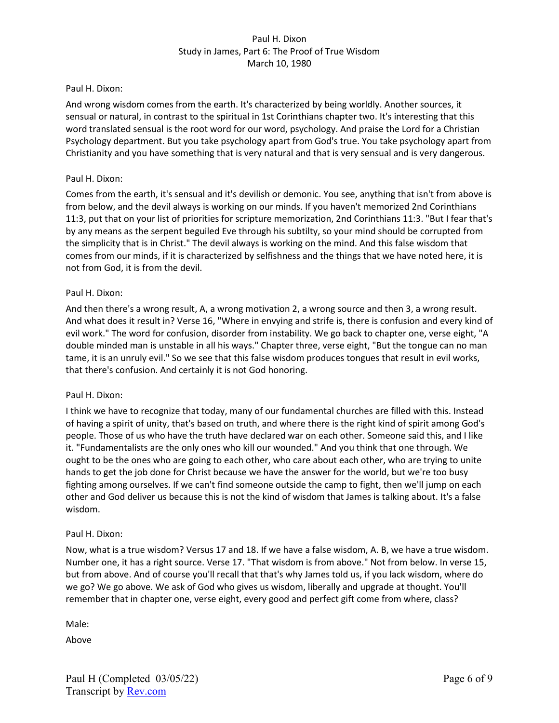## Paul H. Dixon:

And wrong wisdom comes from the earth. It's characterized by being worldly. Another sources, it sensual or natural, in contrast to the spiritual in 1st Corinthians chapter two. It's interesting that this word translated sensual is the root word for our word, psychology. And praise the Lord for a Christian Psychology department. But you take psychology apart from God's true. You take psychology apart from Christianity and you have something that is very natural and that is very sensual and is very dangerous.

## Paul H. Dixon:

Comes from the earth, it's sensual and it's devilish or demonic. You see, anything that isn't from above is from below, and the devil always is working on our minds. If you haven't memorized 2nd Corinthians 11:3, put that on your list of priorities for scripture memorization, 2nd Corinthians 11:3. "But I fear that's by any means as the serpent beguiled Eve through his subtilty, so your mind should be corrupted from the simplicity that is in Christ." The devil always is working on the mind. And this false wisdom that comes from our minds, if it is characterized by selfishness and the things that we have noted here, it is not from God, it is from the devil.

## Paul H. Dixon:

And then there's a wrong result, A, a wrong motivation 2, a wrong source and then 3, a wrong result. And what does it result in? Verse 16, "Where in envying and strife is, there is confusion and every kind of evil work." The word for confusion, disorder from instability. We go back to chapter one, verse eight, "A double minded man is unstable in all his ways." Chapter three, verse eight, "But the tongue can no man tame, it is an unruly evil." So we see that this false wisdom produces tongues that result in evil works, that there's confusion. And certainly it is not God honoring.

#### Paul H. Dixon:

I think we have to recognize that today, many of our fundamental churches are filled with this. Instead of having a spirit of unity, that's based on truth, and where there is the right kind of spirit among God's people. Those of us who have the truth have declared war on each other. Someone said this, and I like it. "Fundamentalists are the only ones who kill our wounded." And you think that one through. We ought to be the ones who are going to each other, who care about each other, who are trying to unite hands to get the job done for Christ because we have the answer for the world, but we're too busy fighting among ourselves. If we can't find someone outside the camp to fight, then we'll jump on each other and God deliver us because this is not the kind of wisdom that James is talking about. It's a false wisdom.

#### Paul H. Dixon:

Now, what is a true wisdom? Versus 17 and 18. If we have a false wisdom, A. B, we have a true wisdom. Number one, it has a right source. Verse 17. "That wisdom is from above." Not from below. In verse 15, but from above. And of course you'll recall that that's why James told us, if you lack wisdom, where do we go? We go above. We ask of God who gives us wisdom, liberally and upgrade at thought. You'll remember that in chapter one, verse eight, every good and perfect gift come from where, class?

Male:

Above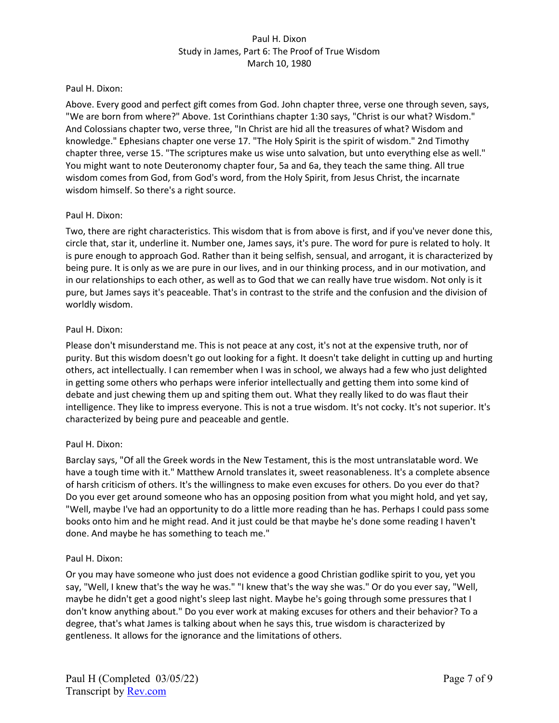### Paul H. Dixon:

Above. Every good and perfect gift comes from God. John chapter three, verse one through seven, says, "We are born from where?" Above. 1st Corinthians chapter 1:30 says, "Christ is our what? Wisdom." And Colossians chapter two, verse three, "In Christ are hid all the treasures of what? Wisdom and knowledge." Ephesians chapter one verse 17. "The Holy Spirit is the spirit of wisdom." 2nd Timothy chapter three, verse 15. "The scriptures make us wise unto salvation, but unto everything else as well." You might want to note Deuteronomy chapter four, 5a and 6a, they teach the same thing. All true wisdom comes from God, from God's word, from the Holy Spirit, from Jesus Christ, the incarnate wisdom himself. So there's a right source.

## Paul H. Dixon:

Two, there are right characteristics. This wisdom that is from above is first, and if you've never done this, circle that, star it, underline it. Number one, James says, it's pure. The word for pure is related to holy. It is pure enough to approach God. Rather than it being selfish, sensual, and arrogant, it is characterized by being pure. It is only as we are pure in our lives, and in our thinking process, and in our motivation, and in our relationships to each other, as well as to God that we can really have true wisdom. Not only is it pure, but James says it's peaceable. That's in contrast to the strife and the confusion and the division of worldly wisdom.

## Paul H. Dixon:

Please don't misunderstand me. This is not peace at any cost, it's not at the expensive truth, nor of purity. But this wisdom doesn't go out looking for a fight. It doesn't take delight in cutting up and hurting others, act intellectually. I can remember when I was in school, we always had a few who just delighted in getting some others who perhaps were inferior intellectually and getting them into some kind of debate and just chewing them up and spiting them out. What they really liked to do was flaut their intelligence. They like to impress everyone. This is not a true wisdom. It's not cocky. It's not superior. It's characterized by being pure and peaceable and gentle.

# Paul H. Dixon:

Barclay says, "Of all the Greek words in the New Testament, this is the most untranslatable word. We have a tough time with it." Matthew Arnold translates it, sweet reasonableness. It's a complete absence of harsh criticism of others. It's the willingness to make even excuses for others. Do you ever do that? Do you ever get around someone who has an opposing position from what you might hold, and yet say, "Well, maybe I've had an opportunity to do a little more reading than he has. Perhaps I could pass some books onto him and he might read. And it just could be that maybe he's done some reading I haven't done. And maybe he has something to teach me."

#### Paul H. Dixon:

Or you may have someone who just does not evidence a good Christian godlike spirit to you, yet you say, "Well, I knew that's the way he was." "I knew that's the way she was." Or do you ever say, "Well, maybe he didn't get a good night's sleep last night. Maybe he's going through some pressures that I don't know anything about." Do you ever work at making excuses for others and their behavior? To a degree, that's what James is talking about when he says this, true wisdom is characterized by gentleness. It allows for the ignorance and the limitations of others.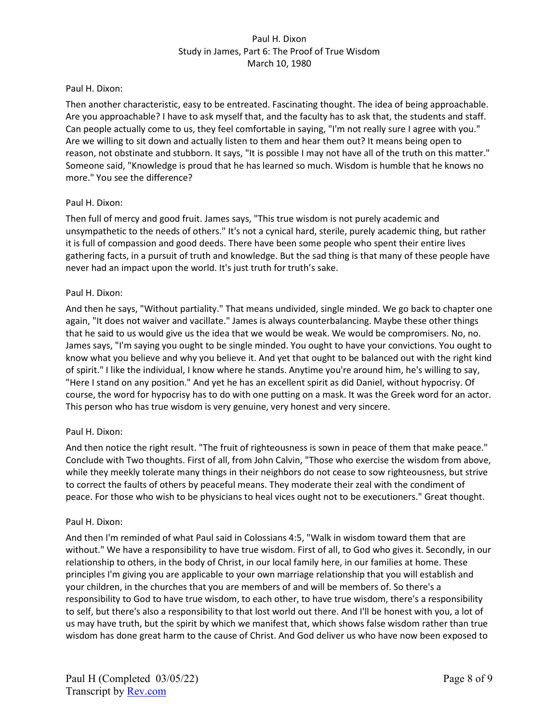### Paul H. Dixon:

Then another characteristic, easy to be entreated. Fascinating thought. The idea of being approachable. Are you approachable? I have to ask myself that, and the faculty has to ask that, the students and staff. Can people actually come to us, they feel comfortable in saying, "I'm not really sure I agree with you." Are we willing to sit down and actually listen to them and hear them out? It means being open to reason, not obstinate and stubborn. It says, "It is possible I may not have all of the truth on this matter." Someone said, "Knowledge is proud that he has learned so much. Wisdom is humble that he knows no more." You see the difference?

## Paul H. Dixon:

Then full of mercy and good fruit. James says, "This true wisdom is not purely academic and unsympathetic to the needs of others." It's not a cynical hard, sterile, purely academic thing, but rather it is full of compassion and good deeds. There have been some people who spent their entire lives gathering facts, in a pursuit of truth and knowledge. But the sad thing is that many of these people have never had an impact upon the world. It's just truth for truth's sake.

## Paul H. Dixon:

And then he says, "Without partiality." That means undivided, single minded. We go back to chapter one again, "It does not waiver and vacillate." James is always counterbalancing. Maybe these other things that he said to us would give us the idea that we would be weak. We would be compromisers. No, no. James says, "I'm saying you ought to be single minded. You ought to have your convictions. You ought to know what you believe and why you believe it. And yet that ought to be balanced out with the right kind of spirit." I like the individual, I know where he stands. Anytime you're around him, he's willing to say, "Here I stand on any position." And yet he has an excellent spirit as did Daniel, without hypocrisy. Of course, the word for hypocrisy has to do with one putting on a mask. It was the Greek word for an actor. This person who has true wisdom is very genuine, very honest and very sincere.

# Paul H. Dixon:

And then notice the right result. "The fruit of righteousness is sown in peace of them that make peace." Conclude with Two thoughts. First of all, from John Calvin, "Those who exercise the wisdom from above, while they meekly tolerate many things in their neighbors do not cease to sow righteousness, but strive to correct the faults of others by peaceful means. They moderate their zeal with the condiment of peace. For those who wish to be physicians to heal vices ought not to be executioners." Great thought.

#### Paul H. Dixon:

And then I'm reminded of what Paul said in Colossians 4:5, "Walk in wisdom toward them that are without." We have a responsibility to have true wisdom. First of all, to God who gives it. Secondly, in our relationship to others, in the body of Christ, in our local family here, in our families at home. These principles I'm giving you are applicable to your own marriage relationship that you will establish and your children, in the churches that you are members of and will be members of. So there's a responsibility to God to have true wisdom, to each other, to have true wisdom, there's a responsibility to self, but there's also a responsibility to that lost world out there. And I'll be honest with you, a lot of us may have truth, but the spirit by which we manifest that, which shows false wisdom rather than true wisdom has done great harm to the cause of Christ. And God deliver us who have now been exposed to